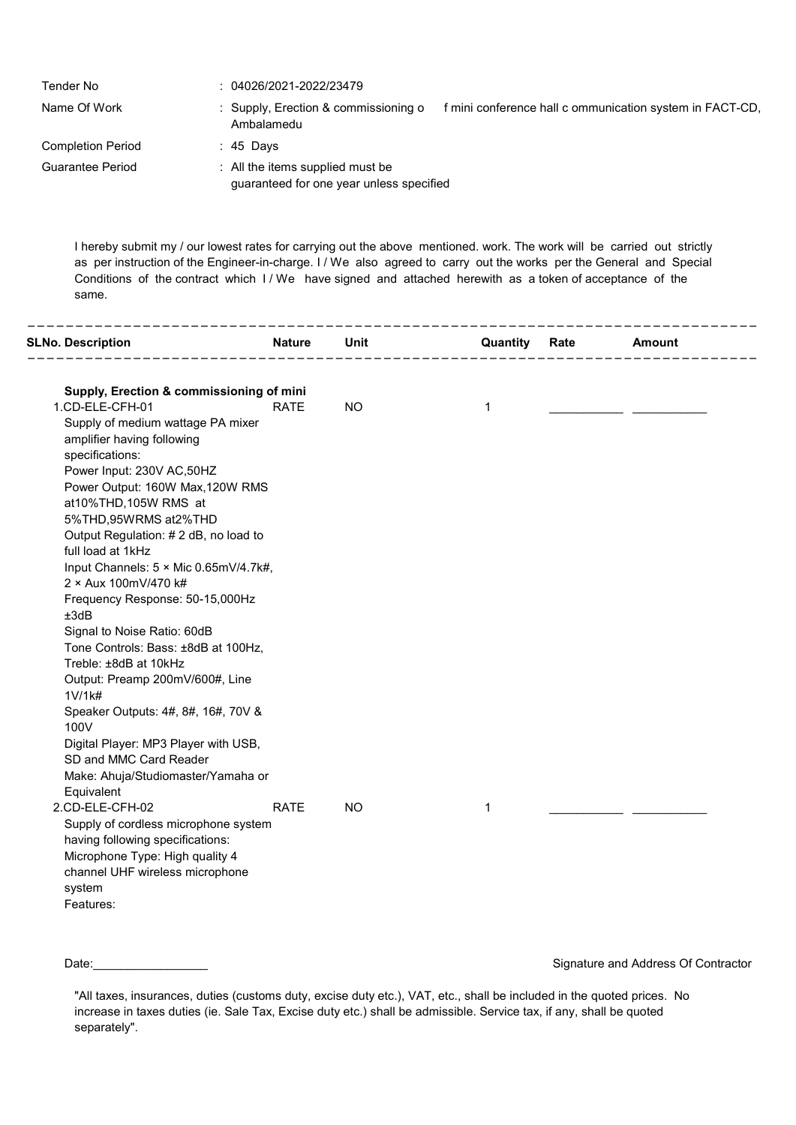| Tender No                | $: 04026/2021 - 2022/23479$                                                                                    |
|--------------------------|----------------------------------------------------------------------------------------------------------------|
| Name Of Work             | : Supply, Erection & commissioning o<br>f mini conference hall c ommunication system in FACT-CD,<br>Ambalamedu |
| <b>Completion Period</b> | : 45 Days                                                                                                      |
| Guarantee Period         | : All the items supplied must be<br>guaranteed for one year unless specified                                   |

I hereby submit my / our lowest rates for carrying out the above mentioned. work. The work will be carried out strictly as per instruction of the Engineer-in-charge. I / We also agreed to carry out the works per the General and Special Conditions of the contract which I / We have signed and attached herewith as a token of acceptance of the same.

| <b>SLNo. Description</b>                                                                               | <b>Nature</b> | Unit      | Quantity    | Rate | Amount |
|--------------------------------------------------------------------------------------------------------|---------------|-----------|-------------|------|--------|
| Supply, Erection & commissioning of mini<br>1.CD-ELE-CFH-01                                            | <b>RATE</b>   | <b>NO</b> | $\mathbf 1$ |      |        |
| Supply of medium wattage PA mixer<br>amplifier having following<br>specifications:                     |               |           |             |      |        |
| Power Input: 230V AC,50HZ<br>Power Output: 160W Max, 120W RMS                                          |               |           |             |      |        |
| at10%THD,105W RMS at<br>5%THD,95WRMS at2%THD                                                           |               |           |             |      |        |
| Output Regulation: #2 dB, no load to<br>full load at 1kHz                                              |               |           |             |      |        |
| Input Channels: 5 × Mic 0.65mV/4.7k#,<br>2 × Aux 100mV/470 k#                                          |               |           |             |      |        |
| Frequency Response: 50-15,000Hz<br>±3dB                                                                |               |           |             |      |        |
| Signal to Noise Ratio: 60dB<br>Tone Controls: Bass: ±8dB at 100Hz,                                     |               |           |             |      |        |
| Treble: ±8dB at 10kHz<br>Output: Preamp 200mV/600#, Line<br>1 <sup>V</sup> /1 <sup>K#</sup>            |               |           |             |      |        |
| Speaker Outputs: 4#, 8#, 16#, 70V &<br>100V                                                            |               |           |             |      |        |
| Digital Player: MP3 Player with USB,<br>SD and MMC Card Reader                                         |               |           |             |      |        |
| Make: Ahuja/Studiomaster/Yamaha or<br>Equivalent                                                       |               |           |             |      |        |
| 2.CD-ELE-CFH-02<br>Supply of cordless microphone system                                                | <b>RATE</b>   | <b>NO</b> | $\mathbf 1$ |      |        |
| having following specifications:<br>Microphone Type: High quality 4<br>channel UHF wireless microphone |               |           |             |      |        |
| system<br>Features:                                                                                    |               |           |             |      |        |
|                                                                                                        |               |           |             |      |        |

Date: example of the contractor of the contractor of the Signature and Address Of Contractor

<sup>&</sup>quot;All taxes, insurances, duties (customs duty, excise duty etc.), VAT, etc., shall be included in the quoted prices. No increase in taxes duties (ie. Sale Tax, Excise duty etc.) shall be admissible. Service tax, if any, shall be quoted separately".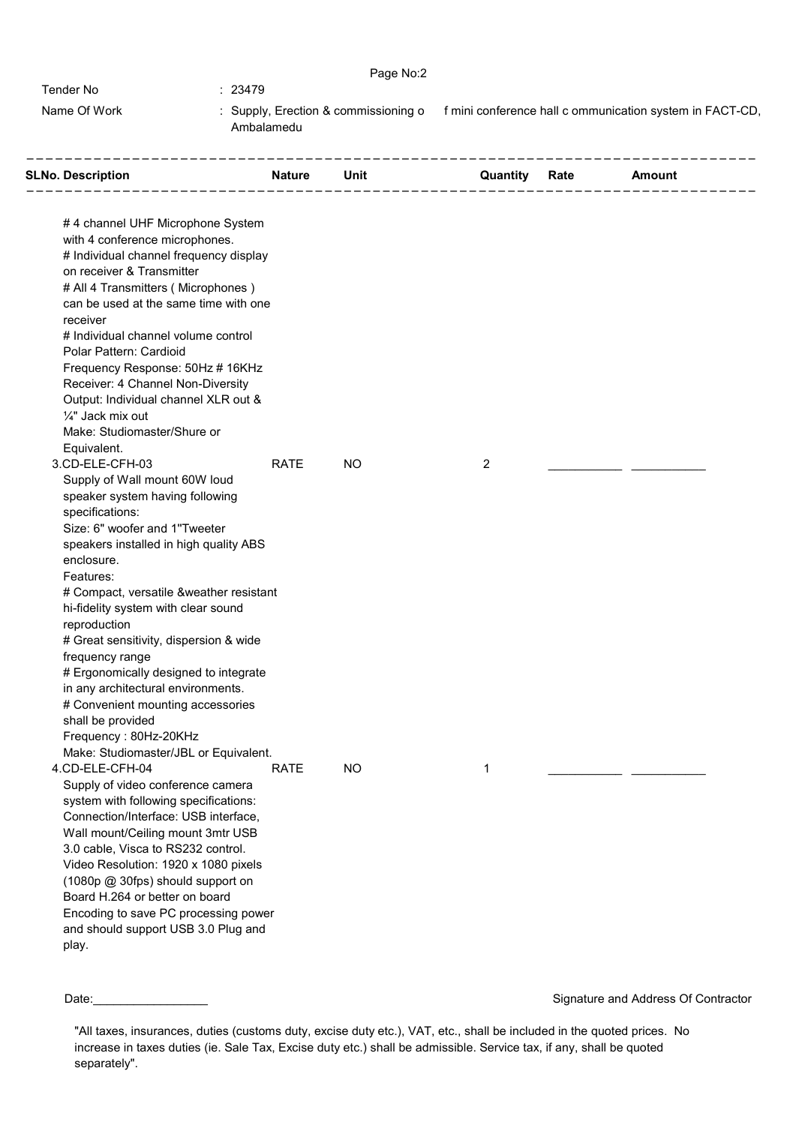|              | Page No:2                                          |                                                          |
|--------------|----------------------------------------------------|----------------------------------------------------------|
| Tender No    | : 23479                                            |                                                          |
| Name Of Work | : Supply, Erection & commissioning o<br>Ambalamedu | f mini conference hall c ommunication system in FACT-CD. |

| <b>SLNo. Description</b><br><b>Example 20 Set 10 Nature 10 Unit</b>     |             |           |                | <b>Quantity Rate Amount</b> |  |
|-------------------------------------------------------------------------|-------------|-----------|----------------|-----------------------------|--|
| #4 channel UHF Microphone System<br>with 4 conference microphones.      |             |           |                |                             |  |
| # Individual channel frequency display                                  |             |           |                |                             |  |
| on receiver & Transmitter<br># All 4 Transmitters (Microphones)         |             |           |                |                             |  |
| can be used at the same time with one<br>receiver                       |             |           |                |                             |  |
| # Individual channel volume control                                     |             |           |                |                             |  |
| Polar Pattern: Cardioid                                                 |             |           |                |                             |  |
| Frequency Response: 50Hz # 16KHz                                        |             |           |                |                             |  |
| Receiver: 4 Channel Non-Diversity                                       |             |           |                |                             |  |
| Output: Individual channel XLR out &<br>1/4" Jack mix out               |             |           |                |                             |  |
| Make: Studiomaster/Shure or                                             |             |           |                |                             |  |
| Equivalent.                                                             |             |           |                |                             |  |
| 3.CD-ELE-CFH-03                                                         | <b>RATE</b> | <b>NO</b> | $\overline{2}$ |                             |  |
| Supply of Wall mount 60W loud                                           |             |           |                |                             |  |
| speaker system having following                                         |             |           |                |                             |  |
| specifications:                                                         |             |           |                |                             |  |
| Size: 6" woofer and 1"Tweeter                                           |             |           |                |                             |  |
| speakers installed in high quality ABS                                  |             |           |                |                             |  |
| enclosure.                                                              |             |           |                |                             |  |
| Features:                                                               |             |           |                |                             |  |
| # Compact, versatile &weather resistant                                 |             |           |                |                             |  |
| hi-fidelity system with clear sound                                     |             |           |                |                             |  |
| reproduction                                                            |             |           |                |                             |  |
| # Great sensitivity, dispersion & wide                                  |             |           |                |                             |  |
| frequency range                                                         |             |           |                |                             |  |
| # Ergonomically designed to integrate                                   |             |           |                |                             |  |
| in any architectural environments.<br># Convenient mounting accessories |             |           |                |                             |  |
| shall be provided                                                       |             |           |                |                             |  |
| Frequency: 80Hz-20KHz                                                   |             |           |                |                             |  |
| Make: Studiomaster/JBL or Equivalent.                                   |             |           |                |                             |  |
| 4.CD-ELE-CFH-04                                                         | <b>RATE</b> | <b>NO</b> | 1              |                             |  |
| Supply of video conference camera                                       |             |           |                |                             |  |
| system with following specifications:                                   |             |           |                |                             |  |
| Connection/Interface: USB interface,                                    |             |           |                |                             |  |
| Wall mount/Ceiling mount 3mtr USB                                       |             |           |                |                             |  |
| 3.0 cable, Visca to RS232 control.                                      |             |           |                |                             |  |
| Video Resolution: 1920 x 1080 pixels                                    |             |           |                |                             |  |
| (1080p @ 30fps) should support on                                       |             |           |                |                             |  |
| Board H.264 or better on board                                          |             |           |                |                             |  |
| Encoding to save PC processing power                                    |             |           |                |                             |  |
| and should support USB 3.0 Plug and                                     |             |           |                |                             |  |
| play.                                                                   |             |           |                |                             |  |

<sup>&</sup>quot;All taxes, insurances, duties (customs duty, excise duty etc.), VAT, etc., shall be included in the quoted prices. No increase in taxes duties (ie. Sale Tax, Excise duty etc.) shall be admissible. Service tax, if any, shall be quoted separately".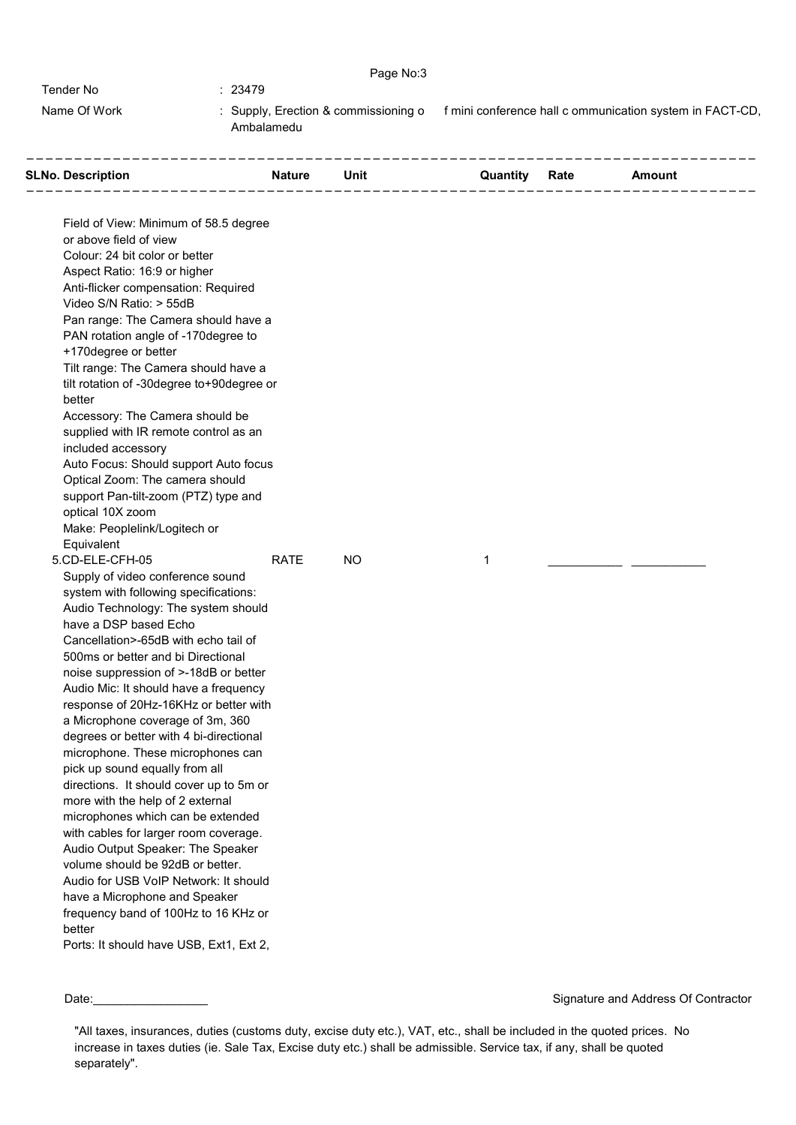|              | Page No:3                                          |                                                          |
|--------------|----------------------------------------------------|----------------------------------------------------------|
| Tender No    | : 23479                                            |                                                          |
| Name Of Work | : Supply, Erection & commissioning o<br>Ambalamedu | f mini conference hall c ommunication system in FACT-CD. |

| Field of View: Minimum of 58.5 degree<br>or above field of view<br>Colour: 24 bit color or better<br>Aspect Ratio: 16:9 or higher<br>Anti-flicker compensation: Required<br>Video S/N Ratio: > 55dB<br>Pan range: The Camera should have a<br>PAN rotation angle of -170 degree to<br>+170degree or better<br>Tilt range: The Camera should have a<br>tilt rotation of -30degree to+90degree or<br>better<br>Accessory: The Camera should be<br>supplied with IR remote control as an<br>included accessory<br>Auto Focus: Should support Auto focus<br>Optical Zoom: The camera should<br>support Pan-tilt-zoom (PTZ) type and<br>optical 10X zoom<br>Make: Peoplelink/Logitech or<br>Equivalent<br>5.CD-ELE-CFH-05<br><b>RATE</b><br><b>NO</b><br>1<br>Supply of video conference sound<br>system with following specifications: | _________________________________<br><b>SLNo. Description</b> | Nature Unit | <b>Quantity Rate Amount</b> |  |
|------------------------------------------------------------------------------------------------------------------------------------------------------------------------------------------------------------------------------------------------------------------------------------------------------------------------------------------------------------------------------------------------------------------------------------------------------------------------------------------------------------------------------------------------------------------------------------------------------------------------------------------------------------------------------------------------------------------------------------------------------------------------------------------------------------------------------------|---------------------------------------------------------------|-------------|-----------------------------|--|
|                                                                                                                                                                                                                                                                                                                                                                                                                                                                                                                                                                                                                                                                                                                                                                                                                                    |                                                               |             |                             |  |
|                                                                                                                                                                                                                                                                                                                                                                                                                                                                                                                                                                                                                                                                                                                                                                                                                                    |                                                               |             |                             |  |
|                                                                                                                                                                                                                                                                                                                                                                                                                                                                                                                                                                                                                                                                                                                                                                                                                                    |                                                               |             |                             |  |
|                                                                                                                                                                                                                                                                                                                                                                                                                                                                                                                                                                                                                                                                                                                                                                                                                                    |                                                               |             |                             |  |
|                                                                                                                                                                                                                                                                                                                                                                                                                                                                                                                                                                                                                                                                                                                                                                                                                                    |                                                               |             |                             |  |
|                                                                                                                                                                                                                                                                                                                                                                                                                                                                                                                                                                                                                                                                                                                                                                                                                                    |                                                               |             |                             |  |
|                                                                                                                                                                                                                                                                                                                                                                                                                                                                                                                                                                                                                                                                                                                                                                                                                                    |                                                               |             |                             |  |
|                                                                                                                                                                                                                                                                                                                                                                                                                                                                                                                                                                                                                                                                                                                                                                                                                                    |                                                               |             |                             |  |
|                                                                                                                                                                                                                                                                                                                                                                                                                                                                                                                                                                                                                                                                                                                                                                                                                                    |                                                               |             |                             |  |
|                                                                                                                                                                                                                                                                                                                                                                                                                                                                                                                                                                                                                                                                                                                                                                                                                                    |                                                               |             |                             |  |
|                                                                                                                                                                                                                                                                                                                                                                                                                                                                                                                                                                                                                                                                                                                                                                                                                                    |                                                               |             |                             |  |
|                                                                                                                                                                                                                                                                                                                                                                                                                                                                                                                                                                                                                                                                                                                                                                                                                                    |                                                               |             |                             |  |
|                                                                                                                                                                                                                                                                                                                                                                                                                                                                                                                                                                                                                                                                                                                                                                                                                                    |                                                               |             |                             |  |
|                                                                                                                                                                                                                                                                                                                                                                                                                                                                                                                                                                                                                                                                                                                                                                                                                                    |                                                               |             |                             |  |
|                                                                                                                                                                                                                                                                                                                                                                                                                                                                                                                                                                                                                                                                                                                                                                                                                                    |                                                               |             |                             |  |
|                                                                                                                                                                                                                                                                                                                                                                                                                                                                                                                                                                                                                                                                                                                                                                                                                                    |                                                               |             |                             |  |
|                                                                                                                                                                                                                                                                                                                                                                                                                                                                                                                                                                                                                                                                                                                                                                                                                                    |                                                               |             |                             |  |
|                                                                                                                                                                                                                                                                                                                                                                                                                                                                                                                                                                                                                                                                                                                                                                                                                                    |                                                               |             |                             |  |
|                                                                                                                                                                                                                                                                                                                                                                                                                                                                                                                                                                                                                                                                                                                                                                                                                                    |                                                               |             |                             |  |
|                                                                                                                                                                                                                                                                                                                                                                                                                                                                                                                                                                                                                                                                                                                                                                                                                                    |                                                               |             |                             |  |
|                                                                                                                                                                                                                                                                                                                                                                                                                                                                                                                                                                                                                                                                                                                                                                                                                                    |                                                               |             |                             |  |
|                                                                                                                                                                                                                                                                                                                                                                                                                                                                                                                                                                                                                                                                                                                                                                                                                                    |                                                               |             |                             |  |
|                                                                                                                                                                                                                                                                                                                                                                                                                                                                                                                                                                                                                                                                                                                                                                                                                                    |                                                               |             |                             |  |
|                                                                                                                                                                                                                                                                                                                                                                                                                                                                                                                                                                                                                                                                                                                                                                                                                                    |                                                               |             |                             |  |
|                                                                                                                                                                                                                                                                                                                                                                                                                                                                                                                                                                                                                                                                                                                                                                                                                                    |                                                               |             |                             |  |
| Audio Technology: The system should                                                                                                                                                                                                                                                                                                                                                                                                                                                                                                                                                                                                                                                                                                                                                                                                |                                                               |             |                             |  |
| have a DSP based Echo                                                                                                                                                                                                                                                                                                                                                                                                                                                                                                                                                                                                                                                                                                                                                                                                              |                                                               |             |                             |  |
| Cancellation>-65dB with echo tail of                                                                                                                                                                                                                                                                                                                                                                                                                                                                                                                                                                                                                                                                                                                                                                                               |                                                               |             |                             |  |
| 500ms or better and bi Directional                                                                                                                                                                                                                                                                                                                                                                                                                                                                                                                                                                                                                                                                                                                                                                                                 |                                                               |             |                             |  |
| noise suppression of >-18dB or better                                                                                                                                                                                                                                                                                                                                                                                                                                                                                                                                                                                                                                                                                                                                                                                              |                                                               |             |                             |  |
| Audio Mic: It should have a frequency                                                                                                                                                                                                                                                                                                                                                                                                                                                                                                                                                                                                                                                                                                                                                                                              |                                                               |             |                             |  |
| response of 20Hz-16KHz or better with                                                                                                                                                                                                                                                                                                                                                                                                                                                                                                                                                                                                                                                                                                                                                                                              |                                                               |             |                             |  |
| a Microphone coverage of 3m, 360                                                                                                                                                                                                                                                                                                                                                                                                                                                                                                                                                                                                                                                                                                                                                                                                   |                                                               |             |                             |  |
| degrees or better with 4 bi-directional<br>microphone. These microphones can                                                                                                                                                                                                                                                                                                                                                                                                                                                                                                                                                                                                                                                                                                                                                       |                                                               |             |                             |  |
| pick up sound equally from all                                                                                                                                                                                                                                                                                                                                                                                                                                                                                                                                                                                                                                                                                                                                                                                                     |                                                               |             |                             |  |
| directions. It should cover up to 5m or                                                                                                                                                                                                                                                                                                                                                                                                                                                                                                                                                                                                                                                                                                                                                                                            |                                                               |             |                             |  |
| more with the help of 2 external                                                                                                                                                                                                                                                                                                                                                                                                                                                                                                                                                                                                                                                                                                                                                                                                   |                                                               |             |                             |  |
| microphones which can be extended                                                                                                                                                                                                                                                                                                                                                                                                                                                                                                                                                                                                                                                                                                                                                                                                  |                                                               |             |                             |  |
| with cables for larger room coverage.                                                                                                                                                                                                                                                                                                                                                                                                                                                                                                                                                                                                                                                                                                                                                                                              |                                                               |             |                             |  |
| Audio Output Speaker: The Speaker                                                                                                                                                                                                                                                                                                                                                                                                                                                                                                                                                                                                                                                                                                                                                                                                  |                                                               |             |                             |  |
| volume should be 92dB or better.                                                                                                                                                                                                                                                                                                                                                                                                                                                                                                                                                                                                                                                                                                                                                                                                   |                                                               |             |                             |  |
| Audio for USB VoIP Network: It should                                                                                                                                                                                                                                                                                                                                                                                                                                                                                                                                                                                                                                                                                                                                                                                              |                                                               |             |                             |  |
| have a Microphone and Speaker                                                                                                                                                                                                                                                                                                                                                                                                                                                                                                                                                                                                                                                                                                                                                                                                      |                                                               |             |                             |  |
| frequency band of 100Hz to 16 KHz or                                                                                                                                                                                                                                                                                                                                                                                                                                                                                                                                                                                                                                                                                                                                                                                               |                                                               |             |                             |  |
| better                                                                                                                                                                                                                                                                                                                                                                                                                                                                                                                                                                                                                                                                                                                                                                                                                             |                                                               |             |                             |  |
| Ports: It should have USB, Ext1, Ext 2,                                                                                                                                                                                                                                                                                                                                                                                                                                                                                                                                                                                                                                                                                                                                                                                            |                                                               |             |                             |  |

<sup>&</sup>quot;All taxes, insurances, duties (customs duty, excise duty etc.), VAT, etc., shall be included in the quoted prices. No increase in taxes duties (ie. Sale Tax, Excise duty etc.) shall be admissible. Service tax, if any, shall be quoted separately".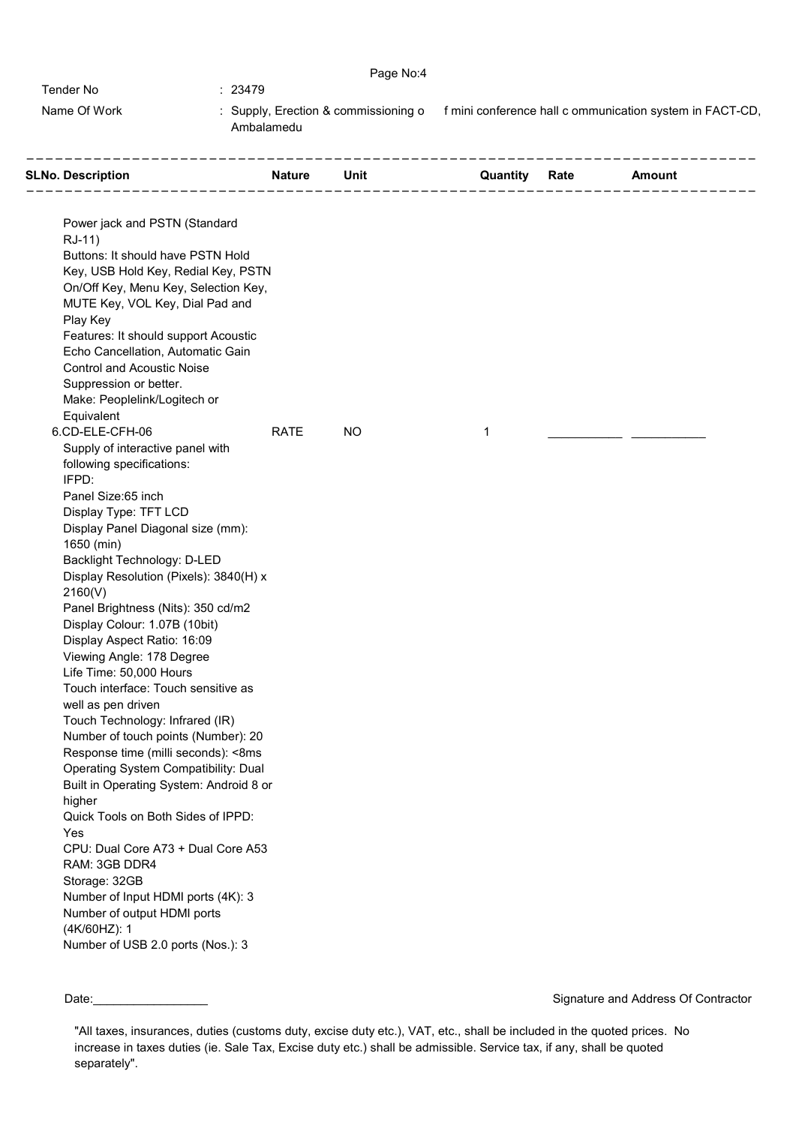|              | Page No:4                                          |                                                          |
|--------------|----------------------------------------------------|----------------------------------------------------------|
| Tender No    | : 23479                                            |                                                          |
| Name Of Work | : Supply, Erection & commissioning o<br>Ambalamedu | f mini conference hall c ommunication system in FACT-CD. |

| <b>SLNo. Description</b><br>. _ _ _ _ _ _ _ _ _ _ _ _ _ _ _ _ |             | <b>Nature Unit</b> |   | <b>Quantity Rate Amount</b> |  |
|---------------------------------------------------------------|-------------|--------------------|---|-----------------------------|--|
|                                                               |             |                    |   |                             |  |
| Power jack and PSTN (Standard                                 |             |                    |   |                             |  |
| RJ-11)                                                        |             |                    |   |                             |  |
| Buttons: It should have PSTN Hold                             |             |                    |   |                             |  |
| Key, USB Hold Key, Redial Key, PSTN                           |             |                    |   |                             |  |
| On/Off Key, Menu Key, Selection Key,                          |             |                    |   |                             |  |
| MUTE Key, VOL Key, Dial Pad and                               |             |                    |   |                             |  |
| Play Key<br>Features: It should support Acoustic              |             |                    |   |                             |  |
| Echo Cancellation, Automatic Gain                             |             |                    |   |                             |  |
| <b>Control and Acoustic Noise</b>                             |             |                    |   |                             |  |
| Suppression or better.                                        |             |                    |   |                             |  |
| Make: Peoplelink/Logitech or                                  |             |                    |   |                             |  |
| Equivalent                                                    |             |                    |   |                             |  |
| 6.CD-ELE-CFH-06                                               | <b>RATE</b> | <b>NO</b>          | 1 |                             |  |
| Supply of interactive panel with                              |             |                    |   |                             |  |
| following specifications:                                     |             |                    |   |                             |  |
| IFPD:                                                         |             |                    |   |                             |  |
| Panel Size:65 inch                                            |             |                    |   |                             |  |
| Display Type: TFT LCD                                         |             |                    |   |                             |  |
| Display Panel Diagonal size (mm):                             |             |                    |   |                             |  |
| 1650 (min)                                                    |             |                    |   |                             |  |
| Backlight Technology: D-LED                                   |             |                    |   |                             |  |
| Display Resolution (Pixels): 3840(H) x                        |             |                    |   |                             |  |
| 2160(V)                                                       |             |                    |   |                             |  |
| Panel Brightness (Nits): 350 cd/m2                            |             |                    |   |                             |  |
| Display Colour: 1.07B (10bit)                                 |             |                    |   |                             |  |
| Display Aspect Ratio: 16:09<br>Viewing Angle: 178 Degree      |             |                    |   |                             |  |
| Life Time: 50,000 Hours                                       |             |                    |   |                             |  |
| Touch interface: Touch sensitive as                           |             |                    |   |                             |  |
| well as pen driven                                            |             |                    |   |                             |  |
| Touch Technology: Infrared (IR)                               |             |                    |   |                             |  |
| Number of touch points (Number): 20                           |             |                    |   |                             |  |
| Response time (milli seconds): <8ms                           |             |                    |   |                             |  |
| Operating System Compatibility: Dual                          |             |                    |   |                             |  |
| Built in Operating System: Android 8 or                       |             |                    |   |                             |  |
| higher                                                        |             |                    |   |                             |  |
| Quick Tools on Both Sides of IPPD:                            |             |                    |   |                             |  |
| Yes                                                           |             |                    |   |                             |  |
| CPU: Dual Core A73 + Dual Core A53                            |             |                    |   |                             |  |
| RAM: 3GB DDR4                                                 |             |                    |   |                             |  |
| Storage: 32GB                                                 |             |                    |   |                             |  |
| Number of Input HDMI ports (4K): 3                            |             |                    |   |                             |  |
| Number of output HDMI ports                                   |             |                    |   |                             |  |
| (4K/60HZ): 1                                                  |             |                    |   |                             |  |
| Number of USB 2.0 ports (Nos.): 3                             |             |                    |   |                             |  |

"All taxes, insurances, duties (customs duty, excise duty etc.), VAT, etc., shall be included in the quoted prices. No increase in taxes duties (ie. Sale Tax, Excise duty etc.) shall be admissible. Service tax, if any, shall be quoted separately".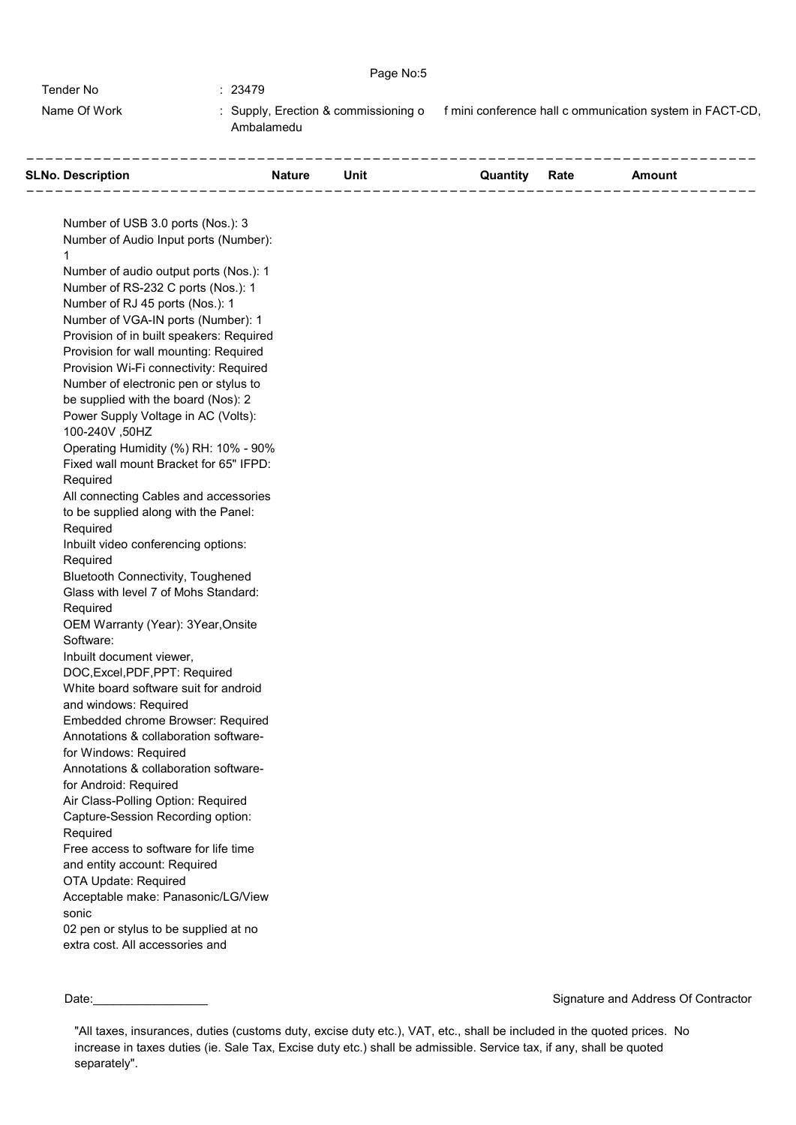|              | Page No:5                                          |                                                          |
|--------------|----------------------------------------------------|----------------------------------------------------------|
| Tender No    | 23479                                              |                                                          |
| Name Of Work | : Supply, Erection & commissioning o<br>Ambalamedu | f mini conference hall c ommunication system in FACT-CD. |

| <b>SLNo. Description</b><br><b>Solution System State State State State State State State State State State State State State State State State State State State State State State State State State State State State State State State State State State S</b> |  |  | <b>Quantity Rate Amount</b> |  |
|------------------------------------------------------------------------------------------------------------------------------------------------------------------------------------------------------------------------------------------------------------------|--|--|-----------------------------|--|
|                                                                                                                                                                                                                                                                  |  |  |                             |  |
| Number of USB 3.0 ports (Nos.): 3                                                                                                                                                                                                                                |  |  |                             |  |
| Number of Audio Input ports (Number):<br>$\mathbf{1}$                                                                                                                                                                                                            |  |  |                             |  |
| Number of audio output ports (Nos.): 1                                                                                                                                                                                                                           |  |  |                             |  |
| Number of RS-232 C ports (Nos.): 1                                                                                                                                                                                                                               |  |  |                             |  |
| Number of RJ 45 ports (Nos.): 1                                                                                                                                                                                                                                  |  |  |                             |  |
| Number of VGA-IN ports (Number): 1                                                                                                                                                                                                                               |  |  |                             |  |
| Provision of in built speakers: Required                                                                                                                                                                                                                         |  |  |                             |  |
| Provision for wall mounting: Required                                                                                                                                                                                                                            |  |  |                             |  |
| Provision Wi-Fi connectivity: Required                                                                                                                                                                                                                           |  |  |                             |  |
| Number of electronic pen or stylus to                                                                                                                                                                                                                            |  |  |                             |  |
| be supplied with the board (Nos): 2                                                                                                                                                                                                                              |  |  |                             |  |
| Power Supply Voltage in AC (Volts):                                                                                                                                                                                                                              |  |  |                             |  |
| 100-240V,50HZ                                                                                                                                                                                                                                                    |  |  |                             |  |
| Operating Humidity (%) RH: 10% - 90%                                                                                                                                                                                                                             |  |  |                             |  |
| Fixed wall mount Bracket for 65" IFPD:                                                                                                                                                                                                                           |  |  |                             |  |
| Required                                                                                                                                                                                                                                                         |  |  |                             |  |
| All connecting Cables and accessories                                                                                                                                                                                                                            |  |  |                             |  |
| to be supplied along with the Panel:                                                                                                                                                                                                                             |  |  |                             |  |
| Required                                                                                                                                                                                                                                                         |  |  |                             |  |
| Inbuilt video conferencing options:                                                                                                                                                                                                                              |  |  |                             |  |
| Required                                                                                                                                                                                                                                                         |  |  |                             |  |
| <b>Bluetooth Connectivity, Toughened</b>                                                                                                                                                                                                                         |  |  |                             |  |
| Glass with level 7 of Mohs Standard:                                                                                                                                                                                                                             |  |  |                             |  |
| Required                                                                                                                                                                                                                                                         |  |  |                             |  |
| OEM Warranty (Year): 3Year, Onsite<br>Software:                                                                                                                                                                                                                  |  |  |                             |  |
| Inbuilt document viewer,                                                                                                                                                                                                                                         |  |  |                             |  |
| DOC, Excel, PDF, PPT: Required                                                                                                                                                                                                                                   |  |  |                             |  |
| White board software suit for android                                                                                                                                                                                                                            |  |  |                             |  |
| and windows: Required                                                                                                                                                                                                                                            |  |  |                             |  |
| Embedded chrome Browser: Required                                                                                                                                                                                                                                |  |  |                             |  |
| Annotations & collaboration software-                                                                                                                                                                                                                            |  |  |                             |  |
| for Windows: Required                                                                                                                                                                                                                                            |  |  |                             |  |
| Annotations & collaboration software-                                                                                                                                                                                                                            |  |  |                             |  |
| for Android: Required                                                                                                                                                                                                                                            |  |  |                             |  |
| Air Class-Polling Option: Required                                                                                                                                                                                                                               |  |  |                             |  |
| Capture-Session Recording option:                                                                                                                                                                                                                                |  |  |                             |  |
| Required                                                                                                                                                                                                                                                         |  |  |                             |  |
| Free access to software for life time                                                                                                                                                                                                                            |  |  |                             |  |
| and entity account: Required                                                                                                                                                                                                                                     |  |  |                             |  |
| OTA Update: Required                                                                                                                                                                                                                                             |  |  |                             |  |
| Acceptable make: Panasonic/LG/View                                                                                                                                                                                                                               |  |  |                             |  |
| sonic                                                                                                                                                                                                                                                            |  |  |                             |  |
| 02 pen or stylus to be supplied at no                                                                                                                                                                                                                            |  |  |                             |  |
| extra cost. All accessories and                                                                                                                                                                                                                                  |  |  |                             |  |

"All taxes, insurances, duties (customs duty, excise duty etc.), VAT, etc., shall be included in the quoted prices. No increase in taxes duties (ie. Sale Tax, Excise duty etc.) shall be admissible. Service tax, if any, shall be quoted separately".